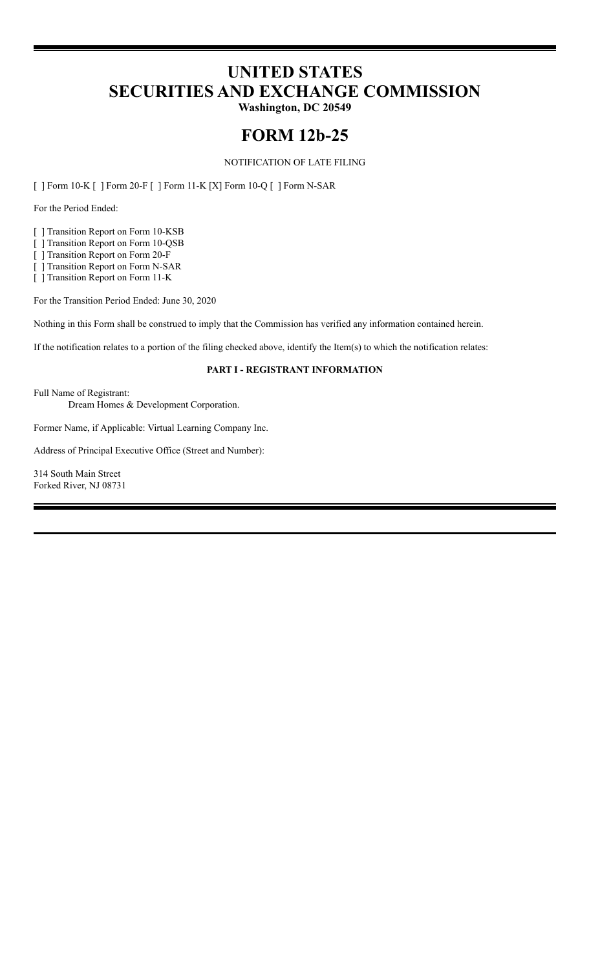# **UNITED STATES SECURITIES AND EXCHANGE COMMISSION**

**Washington, DC 20549**

## **FORM 12b-25**

NOTIFICATION OF LATE FILING

[ ] Form 10-K [ ] Form 20-F [ ] Form 11-K [X] Form 10-Q [ ] Form N-SAR

For the Period Ended:

[ ] Transition Report on Form 10-KSB

[ ] Transition Report on Form 10-QSB

[ ] Transition Report on Form 20-F

[ ] Transition Report on Form N-SAR

[ ] Transition Report on Form 11-K

For the Transition Period Ended: June 30, 2020

Nothing in this Form shall be construed to imply that the Commission has verified any information contained herein.

If the notification relates to a portion of the filing checked above, identify the Item(s) to which the notification relates:

## **PART I - REGISTRANT INFORMATION**

Full Name of Registrant:

Dream Homes & Development Corporation.

Former Name, if Applicable: Virtual Learning Company Inc.

Address of Principal Executive Office (Street and Number):

314 South Main Street Forked River, NJ 08731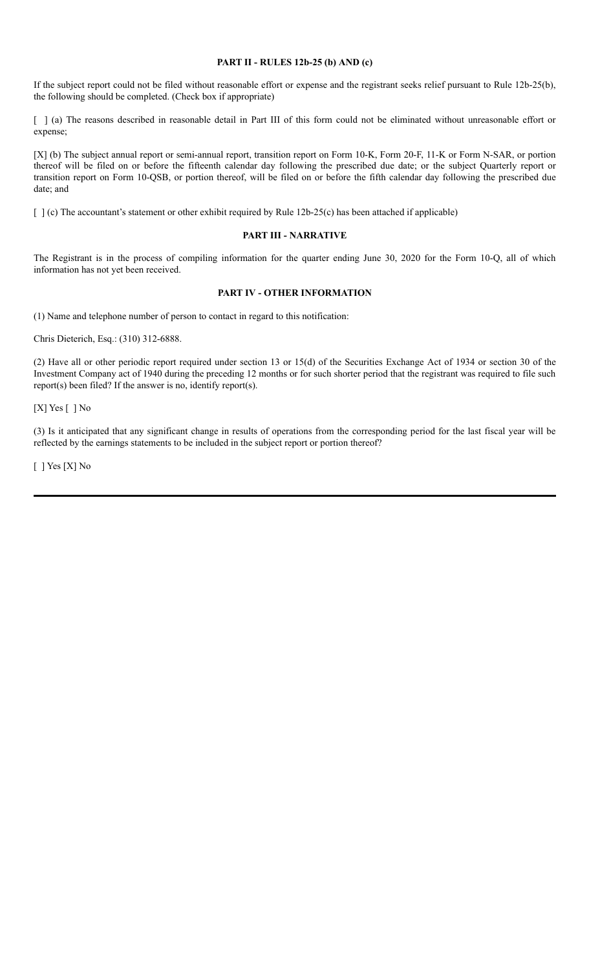### **PART II - RULES 12b-25 (b) AND (c)**

If the subject report could not be filed without reasonable effort or expense and the registrant seeks relief pursuant to Rule 12b-25(b), the following should be completed. (Check box if appropriate)

[ ] (a) The reasons described in reasonable detail in Part III of this form could not be eliminated without unreasonable effort or expense;

[X] (b) The subject annual report or semi-annual report, transition report on Form 10-K, Form 20-F, 11-K or Form N-SAR, or portion thereof will be filed on or before the fifteenth calendar day following the prescribed due date; or the subject Quarterly report or transition report on Form 10-QSB, or portion thereof, will be filed on or before the fifth calendar day following the prescribed due date; and

[ ] (c) The accountant's statement or other exhibit required by Rule 12b-25(c) has been attached if applicable)

#### **PART III - NARRATIVE**

The Registrant is in the process of compiling information for the quarter ending June 30, 2020 for the Form 10-Q, all of which information has not yet been received.

## **PART IV - OTHER INFORMATION**

(1) Name and telephone number of person to contact in regard to this notification:

Chris Dieterich, Esq.: (310) 312-6888.

(2) Have all or other periodic report required under section 13 or 15(d) of the Securities Exchange Act of 1934 or section 30 of the Investment Company act of 1940 during the preceding 12 months or for such shorter period that the registrant was required to file such report(s) been filed? If the answer is no, identify report(s).

[X] Yes [ ] No

(3) Is it anticipated that any significant change in results of operations from the corresponding period for the last fiscal year will be reflected by the earnings statements to be included in the subject report or portion thereof?

[ ] Yes [X] No